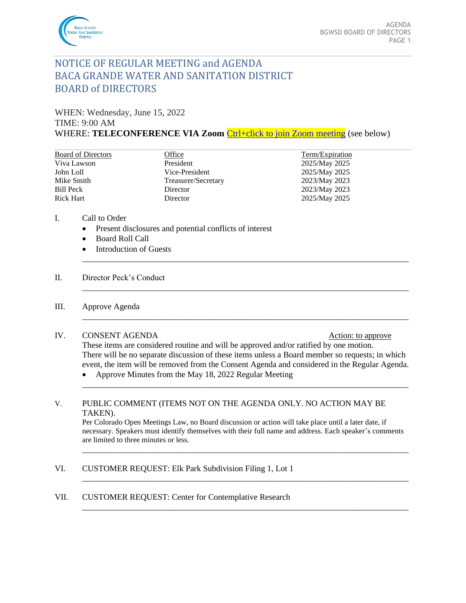

# NOTICE OF REGULAR MEETING and AGENDA BACA GRANDE WATER AND SANITATION DISTRICT BOARD of DIRECTORS

WHEN: Wednesday, June 15, 2022

#### TIME: 9:00 AM

WHERE: **TELECONFERENCE VIA Zoom** [Ctrl+click to join Zoom meeting](https://us02web.zoom.us/j/87269124750?pwd=ZmZVcTd2Y0UycW0vRmFWNS9wTU5WQT09) (see below)

| <b>Board of Directors</b> | Office              | Term/Expiration |
|---------------------------|---------------------|-----------------|
| Viva Lawson               | President           | 2025/May 2025   |
| John Loll                 | Vice-President      | 2025/May 2025   |
| Mike Smith                | Treasurer/Secretary | 2023/May 2023   |
| Bill Peck                 | Director            | 2023/May 2023   |
| Rick Hart                 | Director            | 2025/May 2025   |
|                           |                     |                 |

- I. Call to Order
	- Present disclosures and potential conflicts of interest
	- Board Roll Call
	- **Introduction of Guests**

#### II. Director Peck's Conduct

#### III. Approve Agenda

#### IV. CONSENT AGENDA Action: to approve

These items are considered routine and will be approved and/or ratified by one motion. There will be no separate discussion of these items unless a Board member so requests; in which event, the item will be removed from the Consent Agenda and considered in the Regular Agenda.

\_\_\_\_\_\_\_\_\_\_\_\_\_\_\_\_\_\_\_\_\_\_\_\_\_\_\_\_\_\_\_\_\_\_\_\_\_\_\_\_\_\_\_\_\_\_\_\_\_\_\_\_\_\_\_\_\_\_\_\_\_\_\_\_\_\_\_\_\_\_\_\_\_\_\_\_\_\_

\_\_\_\_\_\_\_\_\_\_\_\_\_\_\_\_\_\_\_\_\_\_\_\_\_\_\_\_\_\_\_\_\_\_\_\_\_\_\_\_\_\_\_\_\_\_\_\_\_\_\_\_\_\_\_\_\_\_\_\_\_\_\_\_\_\_\_\_\_\_\_\_\_\_\_\_\_\_

\_\_\_\_\_\_\_\_\_\_\_\_\_\_\_\_\_\_\_\_\_\_\_\_\_\_\_\_\_\_\_\_\_\_\_\_\_\_\_\_\_\_\_\_\_\_\_\_\_\_\_\_\_\_\_\_\_\_\_\_\_\_\_\_\_\_\_\_\_\_\_\_\_\_\_\_\_\_

\_\_\_\_\_\_\_\_\_\_\_\_\_\_\_\_\_\_\_\_\_\_\_\_\_\_\_\_\_\_\_\_\_\_\_\_\_\_\_\_\_\_\_\_\_\_\_\_\_\_\_\_\_\_\_\_\_\_\_\_\_\_\_\_\_\_\_\_\_\_\_\_\_\_\_\_\_\_

• Approve Minutes from the May 18, 2022 Regular Meeting

#### V. PUBLIC COMMENT (ITEMS NOT ON THE AGENDA ONLY. NO ACTION MAY BE TAKEN).

Per Colorado Open Meetings Law, no Board discussion or action will take place until a later date, if necessary. Speakers must identify themselves with their full name and address. Each speaker's comments are limited to three minutes or less.

\_\_\_\_\_\_\_\_\_\_\_\_\_\_\_\_\_\_\_\_\_\_\_\_\_\_\_\_\_\_\_\_\_\_\_\_\_\_\_\_\_\_\_\_\_\_\_\_\_\_\_\_\_\_\_\_\_\_\_\_\_\_\_\_\_\_\_\_\_\_\_\_\_\_\_\_\_\_

\_\_\_\_\_\_\_\_\_\_\_\_\_\_\_\_\_\_\_\_\_\_\_\_\_\_\_\_\_\_\_\_\_\_\_\_\_\_\_\_\_\_\_\_\_\_\_\_\_\_\_\_\_\_\_\_\_\_\_\_\_\_\_\_\_\_\_\_\_\_\_\_\_\_\_\_\_\_

\_\_\_\_\_\_\_\_\_\_\_\_\_\_\_\_\_\_\_\_\_\_\_\_\_\_\_\_\_\_\_\_\_\_\_\_\_\_\_\_\_\_\_\_\_\_\_\_\_\_\_\_\_\_\_\_\_\_\_\_\_\_\_\_\_\_\_\_\_\_\_\_\_\_\_\_\_\_

- VI. CUSTOMER REQUEST: Elk Park Subdivision Filing 1, Lot 1
- VII. CUSTOMER REQUEST: Center for Contemplative Research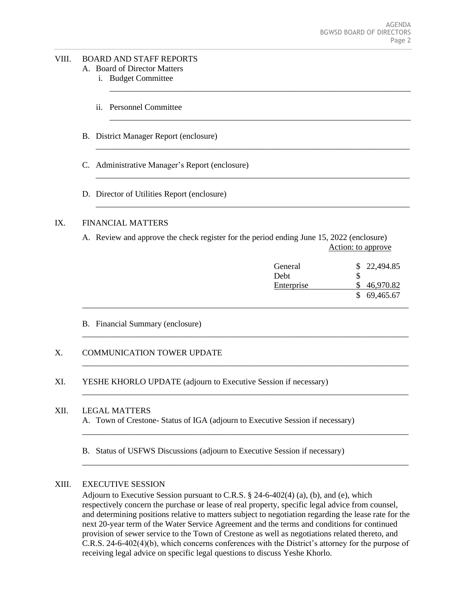# VIII. BOARD AND STAFF REPORTS

A. Board of Director Matters

- i. Budget Committee
- ii. Personnel Committee
- B. District Manager Report (enclosure)
- C. Administrative Manager's Report (enclosure)
- D. Director of Utilities Report (enclosure)

#### IX. FINANCIAL MATTERS

A. Review and approve the check register for the period ending June 15, 2022 (enclosure) Action: to approve

\_\_\_\_\_\_\_\_\_\_\_\_\_\_\_\_\_\_\_\_\_\_\_\_\_\_\_\_\_\_\_\_\_\_\_\_\_\_\_\_\_\_\_\_\_\_\_\_\_\_\_\_\_\_\_\_\_\_\_\_\_\_\_\_\_\_\_\_\_\_\_\_\_\_\_\_\_\_

\_\_\_\_\_\_\_\_\_\_\_\_\_\_\_\_\_\_\_\_\_\_\_\_\_\_\_\_\_\_\_\_\_\_\_\_\_\_\_\_\_\_\_\_\_\_\_\_\_\_\_\_\_\_\_\_\_\_\_\_\_\_\_\_\_\_\_\_\_\_\_\_\_\_\_\_\_\_

\_\_\_\_\_\_\_\_\_\_\_\_\_\_\_\_\_\_\_\_\_\_\_\_\_\_\_\_\_\_\_\_\_\_\_\_\_\_\_\_\_\_\_\_\_\_\_\_\_\_\_\_\_\_\_\_\_\_\_\_\_\_\_\_\_\_\_\_\_\_\_\_\_\_\_\_\_\_

\_\_\_\_\_\_\_\_\_\_\_\_\_\_\_\_\_\_\_\_\_\_\_\_\_\_\_\_\_\_\_\_\_\_\_\_\_\_\_\_\_\_\_\_\_\_\_\_\_\_\_\_\_\_\_\_\_\_\_\_\_\_\_\_\_\_\_\_\_\_\_\_\_\_\_\_\_\_

\_\_\_\_\_\_\_\_\_\_\_\_\_\_\_\_\_\_\_\_\_\_\_\_\_\_\_\_\_\_\_\_\_\_\_\_\_\_\_\_\_\_\_\_\_\_\_\_\_\_\_\_\_\_\_\_\_\_\_\_\_\_\_\_\_\_\_\_\_\_\_\_\_\_\_\_\_\_

\_\_\_\_\_\_\_\_\_\_\_\_\_\_\_\_\_\_\_\_\_\_\_\_\_\_\_\_\_\_\_\_\_\_\_\_\_\_\_\_\_\_\_\_\_\_\_\_\_\_\_\_\_\_\_\_\_\_\_\_\_\_\_\_\_\_\_\_\_\_\_\_

\_\_\_\_\_\_\_\_\_\_\_\_\_\_\_\_\_\_\_\_\_\_\_\_\_\_\_\_\_\_\_\_\_\_\_\_\_\_\_\_\_\_\_\_\_\_\_\_\_\_\_\_\_\_\_\_\_\_\_\_\_\_\_\_\_\_\_\_\_\_\_\_

\_\_\_\_\_\_\_\_\_\_\_\_\_\_\_\_\_\_\_\_\_\_\_\_\_\_\_\_\_\_\_\_\_\_\_\_\_\_\_\_\_\_\_\_\_\_\_\_\_\_\_\_\_\_\_\_\_\_\_\_\_\_\_\_\_\_\_\_\_\_\_\_\_\_\_

\_\_\_\_\_\_\_\_\_\_\_\_\_\_\_\_\_\_\_\_\_\_\_\_\_\_\_\_\_\_\_\_\_\_\_\_\_\_\_\_\_\_\_\_\_\_\_\_\_\_\_\_\_\_\_\_\_\_\_\_\_\_\_\_\_\_\_\_\_\_\_\_\_\_\_

\_\_\_\_\_\_\_\_\_\_\_\_\_\_\_\_\_\_\_\_\_\_\_\_\_\_\_\_\_\_\_\_\_\_\_\_\_\_\_\_\_\_\_\_\_\_\_\_\_\_\_\_\_\_\_\_\_\_\_\_\_\_\_\_\_\_\_\_\_\_\_\_\_\_\_

| General<br>Debt | \$22,494.85              |
|-----------------|--------------------------|
| Enterprise      | 46,970.82<br>\$69,465.67 |
|                 |                          |

B. Financial Summary (enclosure)

# X. COMMUNICATION TOWER UPDATE

XI. YESHE KHORLO UPDATE (adjourn to Executive Session if necessary)

#### XII. LEGAL MATTERS

- A. Town of Crestone- Status of IGA (adjourn to Executive Session if necessary)
- B. Status of USFWS Discussions (adjourn to Executive Session if necessary)

#### XIII. EXECUTIVE SESSION

Adjourn to Executive Session pursuant to C.R.S. § 24-6-402(4) (a), (b), and (e), which respectively concern the purchase or lease of real property, specific legal advice from counsel, and determining positions relative to matters subject to negotiation regarding the lease rate for the next 20-year term of the Water Service Agreement and the terms and conditions for continued provision of sewer service to the Town of Crestone as well as negotiations related thereto, and C.R.S. 24-6-402(4)(b), which concerns conferences with the District's attorney for the purpose of receiving legal advice on specific legal questions to discuss Yeshe Khorlo.